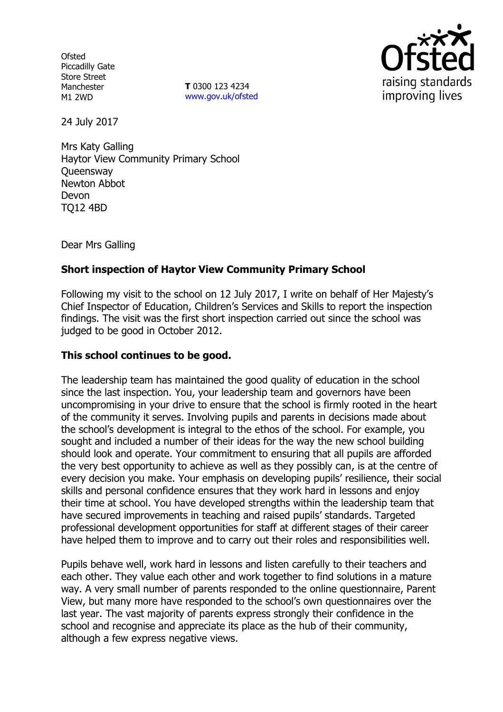**Ofsted** Piccadilly Gate Store Street Manchester M1 2WD

**T** 0300 123 4234 www.gov.uk/ofsted



24 July 2017

Mrs Katy Galling Haytor View Community Primary School **Queensway** Newton Abbot Devon TQ12 4BD

Dear Mrs Galling

# **Short inspection of Haytor View Community Primary School**

Following my visit to the school on 12 July 2017, I write on behalf of Her Majesty's Chief Inspector of Education, Children's Services and Skills to report the inspection findings. The visit was the first short inspection carried out since the school was judged to be good in October 2012.

### **This school continues to be good.**

The leadership team has maintained the good quality of education in the school since the last inspection. You, your leadership team and governors have been uncompromising in your drive to ensure that the school is firmly rooted in the heart of the community it serves. Involving pupils and parents in decisions made about the school's development is integral to the ethos of the school. For example, you sought and included a number of their ideas for the way the new school building should look and operate. Your commitment to ensuring that all pupils are afforded the very best opportunity to achieve as well as they possibly can, is at the centre of every decision you make. Your emphasis on developing pupils' resilience, their social skills and personal confidence ensures that they work hard in lessons and enjoy their time at school. You have developed strengths within the leadership team that have secured improvements in teaching and raised pupils' standards. Targeted professional development opportunities for staff at different stages of their career have helped them to improve and to carry out their roles and responsibilities well.

Pupils behave well, work hard in lessons and listen carefully to their teachers and each other. They value each other and work together to find solutions in a mature way. A very small number of parents responded to the online questionnaire, Parent View, but many more have responded to the school's own questionnaires over the last year. The vast majority of parents express strongly their confidence in the school and recognise and appreciate its place as the hub of their community, although a few express negative views.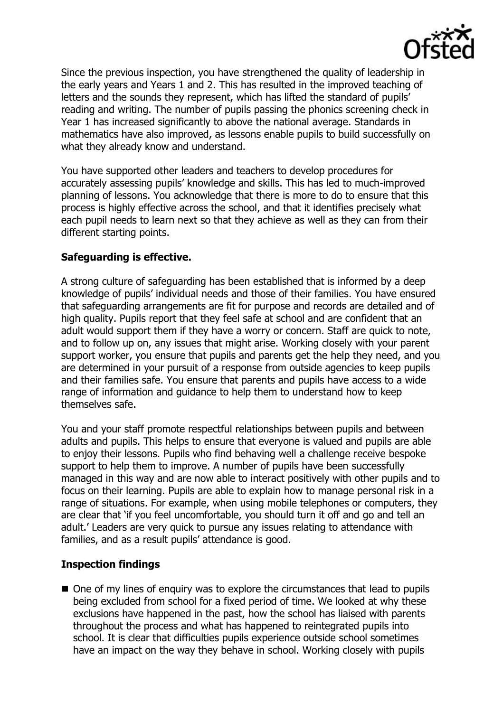

Since the previous inspection, you have strengthened the quality of leadership in the early years and Years 1 and 2. This has resulted in the improved teaching of letters and the sounds they represent, which has lifted the standard of pupils' reading and writing. The number of pupils passing the phonics screening check in Year 1 has increased significantly to above the national average. Standards in mathematics have also improved, as lessons enable pupils to build successfully on what they already know and understand.

You have supported other leaders and teachers to develop procedures for accurately assessing pupils' knowledge and skills. This has led to much-improved planning of lessons. You acknowledge that there is more to do to ensure that this process is highly effective across the school, and that it identifies precisely what each pupil needs to learn next so that they achieve as well as they can from their different starting points.

## **Safeguarding is effective.**

A strong culture of safeguarding has been established that is informed by a deep knowledge of pupils' individual needs and those of their families. You have ensured that safeguarding arrangements are fit for purpose and records are detailed and of high quality. Pupils report that they feel safe at school and are confident that an adult would support them if they have a worry or concern. Staff are quick to note, and to follow up on, any issues that might arise. Working closely with your parent support worker, you ensure that pupils and parents get the help they need, and you are determined in your pursuit of a response from outside agencies to keep pupils and their families safe. You ensure that parents and pupils have access to a wide range of information and guidance to help them to understand how to keep themselves safe.

You and your staff promote respectful relationships between pupils and between adults and pupils. This helps to ensure that everyone is valued and pupils are able to enjoy their lessons. Pupils who find behaving well a challenge receive bespoke support to help them to improve. A number of pupils have been successfully managed in this way and are now able to interact positively with other pupils and to focus on their learning. Pupils are able to explain how to manage personal risk in a range of situations. For example, when using mobile telephones or computers, they are clear that 'if you feel uncomfortable, you should turn it off and go and tell an adult.' Leaders are very quick to pursue any issues relating to attendance with families, and as a result pupils' attendance is good.

### **Inspection findings**

■ One of my lines of enquiry was to explore the circumstances that lead to pupils being excluded from school for a fixed period of time. We looked at why these exclusions have happened in the past, how the school has liaised with parents throughout the process and what has happened to reintegrated pupils into school. It is clear that difficulties pupils experience outside school sometimes have an impact on the way they behave in school. Working closely with pupils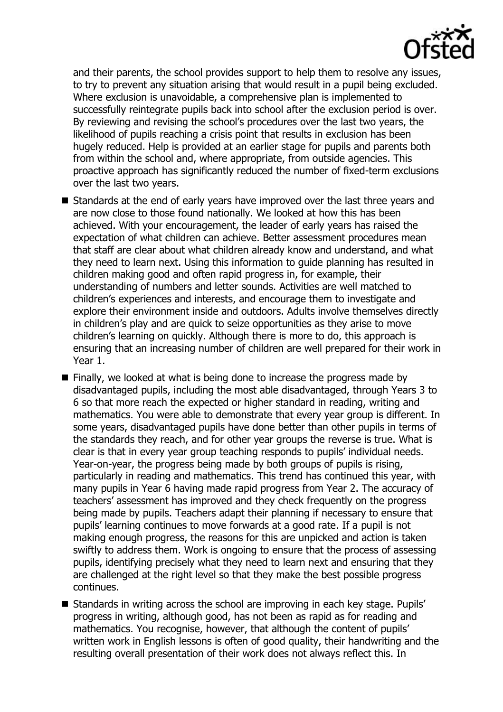

and their parents, the school provides support to help them to resolve any issues, to try to prevent any situation arising that would result in a pupil being excluded. Where exclusion is unavoidable, a comprehensive plan is implemented to successfully reintegrate pupils back into school after the exclusion period is over. By reviewing and revising the school's procedures over the last two years, the likelihood of pupils reaching a crisis point that results in exclusion has been hugely reduced. Help is provided at an earlier stage for pupils and parents both from within the school and, where appropriate, from outside agencies. This proactive approach has significantly reduced the number of fixed-term exclusions over the last two years.

- Standards at the end of early years have improved over the last three years and are now close to those found nationally. We looked at how this has been achieved. With your encouragement, the leader of early years has raised the expectation of what children can achieve. Better assessment procedures mean that staff are clear about what children already know and understand, and what they need to learn next. Using this information to guide planning has resulted in children making good and often rapid progress in, for example, their understanding of numbers and letter sounds. Activities are well matched to children's experiences and interests, and encourage them to investigate and explore their environment inside and outdoors. Adults involve themselves directly in children's play and are quick to seize opportunities as they arise to move children's learning on quickly. Although there is more to do, this approach is ensuring that an increasing number of children are well prepared for their work in Year 1.
- Finally, we looked at what is being done to increase the progress made by disadvantaged pupils, including the most able disadvantaged, through Years 3 to 6 so that more reach the expected or higher standard in reading, writing and mathematics. You were able to demonstrate that every year group is different. In some years, disadvantaged pupils have done better than other pupils in terms of the standards they reach, and for other year groups the reverse is true. What is clear is that in every year group teaching responds to pupils' individual needs. Year-on-year, the progress being made by both groups of pupils is rising, particularly in reading and mathematics. This trend has continued this year, with many pupils in Year 6 having made rapid progress from Year 2. The accuracy of teachers' assessment has improved and they check frequently on the progress being made by pupils. Teachers adapt their planning if necessary to ensure that pupils' learning continues to move forwards at a good rate. If a pupil is not making enough progress, the reasons for this are unpicked and action is taken swiftly to address them. Work is ongoing to ensure that the process of assessing pupils, identifying precisely what they need to learn next and ensuring that they are challenged at the right level so that they make the best possible progress continues.
- Standards in writing across the school are improving in each key stage. Pupils' progress in writing, although good, has not been as rapid as for reading and mathematics. You recognise, however, that although the content of pupils' written work in English lessons is often of good quality, their handwriting and the resulting overall presentation of their work does not always reflect this. In